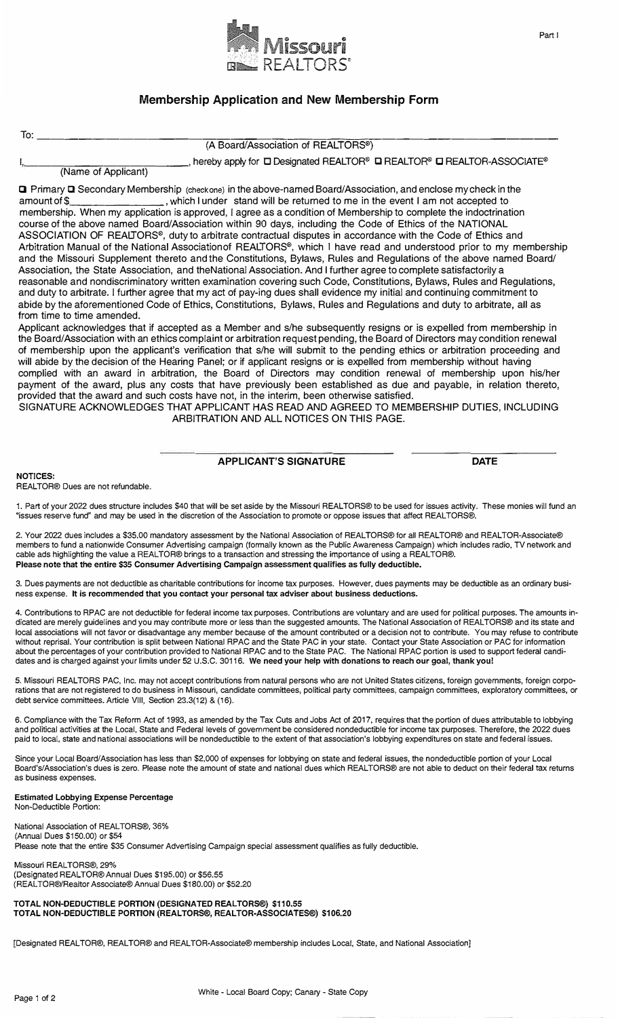

## **Membership Application and New Membership Form**

| To:                                        |                                                                                                                                                                                                                                                                                                                                                                                                                                                                                                                                                                                                                                                                                                                                                                                                                                                                                                                                                                                                                                                                                                                                                                                                                                                                                                                                   |
|--------------------------------------------|-----------------------------------------------------------------------------------------------------------------------------------------------------------------------------------------------------------------------------------------------------------------------------------------------------------------------------------------------------------------------------------------------------------------------------------------------------------------------------------------------------------------------------------------------------------------------------------------------------------------------------------------------------------------------------------------------------------------------------------------------------------------------------------------------------------------------------------------------------------------------------------------------------------------------------------------------------------------------------------------------------------------------------------------------------------------------------------------------------------------------------------------------------------------------------------------------------------------------------------------------------------------------------------------------------------------------------------|
|                                            | (A Board/Association of REALTORS®)                                                                                                                                                                                                                                                                                                                                                                                                                                                                                                                                                                                                                                                                                                                                                                                                                                                                                                                                                                                                                                                                                                                                                                                                                                                                                                |
|                                            | $\_$ , hereby apply for $\Box$ Designated REALTOR® $\Box$ REALTOR® $\Box$ REALTOR-ASSOCIATE®<br>(Name of Applicant)                                                                                                                                                                                                                                                                                                                                                                                                                                                                                                                                                                                                                                                                                                                                                                                                                                                                                                                                                                                                                                                                                                                                                                                                               |
| amount of \$<br>from time to time amended. | <b>Q</b> Primary Q Secondary Membership (checkone) in the above-named Board/Association, and enclose my check in the<br>, which I under stand will be returned to me in the event I am not accepted to<br>membership. When my application is approved, I agree as a condition of Membership to complete the indoctrination<br>course of the above named Board/Association within 90 days, including the Code of Ethics of the NATIONAL<br>ASSOCIATION OF REALTORS <sup>®</sup> , duty to arbitrate contractual disputes in accordance with the Code of Ethics and<br>Arbitration Manual of the National Associationof REALTORS <sup>®</sup> , which I have read and understood prior to my membership<br>and the Missouri Supplement thereto and the Constitutions, Bylaws, Rules and Regulations of the above named Board/<br>Association, the State Association, and theNational Association. And I further agree to complete satisfactorily a<br>reasonable and nondiscriminatory written examination covering such Code, Constitutions, Bylaws, Rules and Regulations,<br>and duty to arbitrate. I further agree that my act of pay-ing dues shall evidence my initial and continuing commitment to<br>abide by the aforementioned Code of Ethics, Constitutions, Bylaws, Rules and Regulations and duty to arbitrate, all as |
|                                            | Applicant acknowledges that if accepted as a Member and s/he subsequently resigns or is expelled from membership in<br>the Board/Association with an ethics complaint or arbitration request pending, the Board of Directors may condition renewal                                                                                                                                                                                                                                                                                                                                                                                                                                                                                                                                                                                                                                                                                                                                                                                                                                                                                                                                                                                                                                                                                |
|                                            | of membership upon the applicant's verification that s/he will submit to the pending ethics or arbitration proceeding and<br>will abide by the decision of the Hearing Panel; or if applicant resigns or is expelled from membership without having<br>complied with an award in arbitration, the Board of Directors may condition renewal of membership upon his/her<br>nayment of the award plus any costs that have previously been established as due and payable in relation thereto                                                                                                                                                                                                                                                                                                                                                                                                                                                                                                                                                                                                                                                                                                                                                                                                                                         |

payment of the award, plus any costs that have previously been established as due and payable, in relation thereto, provided that the award and such costs have not, in the interim, been otherwise satisfied. SIGNATURE ACKNOWLEDGES THAT APPLICANT HAS READ AND AGREED TO MEMBERSHIP DUTIES, INCLUDING

ARBITRATION AND ALL NOTICES ON THIS PAGE.

## **APPLICANT'S SIGNATURE DATE**

**NOTICES:** 

**REAL TOR® Dues are not refundable.** 

**1. Part of your 2022 dues structure includes \$40 that will be set aside by the Missouri REALTORS® to be used for issues activity. These monies will fund an "issues reserve fund" and may be used in the discretion of the Association to promote or oppose issues that affect REALTORS®.** 

**2. Your 2022 dues includes a \$35.00 mandatory assessment by the National Association of REALTORS® for all REALTOR® and REALTOR-Associate® members to fund a nationwide Consumer Advertising campaign (formally known as the Public Awareness Campaign) which includes radio, TV network and cable ads highlighting the value a REALTOR® brings to a transaction and stressing the importance of using a REAL TOR®. Please note that the entire \$35 Consumer Advertising Campaign assessment qualifies as fully deductible.**

**3. Dues payments are not deductible as charitable contributions for income tax purposes. However, dues payments may be deductible as an ordinary business expense. It is recommended that you contact your personal tax adviser about business deductions.**

**4. Contributions to RPAC are not deductible for federal income tax purposes. Contributions are voluntary and are used for political purposes. The amounts indicated are merely guidelines and you may contribute more or less than the suggested amounts. The National Association of REAL TORS® and its state and**  local associations will not favor or disadvantage any member because of the amount contributed or a decision not to contribute. You may refuse to contribute **without reprisal. Your contribution is split between National RPAC and the State PAC in your state. Contact your State Association or PAC for information about the percentages of your contribution provided to National RPAC and to the State PAC. The National RPAC portion is used to support federal candidates and is charged against your limits under 52 U.S.C. 30116. We need your help with donations to reach our goal, thank you!**

**5. Missouri REALTORS PAC, Inc. may not accept contributions from natural persons who are not United States citizens, foreign governments, foreign corporations that are not registered to do business in Missouri, candidate committees, political party committees, campaign committees, exploratory committees, or debt service committees. Article VIII, Section 23.3(12) & {16).** 

**6. Compliance with the Tax Reform Act of 1993, as amended by the Tax Cuts and Jobs Act of 2017, requires that the portion of dues attributable to lobbying and political activities at the Local, State and Federal levels of government be considered nondeductible for income tax purposes. Therefore, the 2022 dues paid to local, state and national associations will be nondeductible to the extent of that association's lobbying expenditures on state and federal issues.**

**Since your Local Board/Association has less than \$2,000 of expenses for lobbying on state and federal issues, the nondeductible portion of your Local Board's/Association's dues is zero. Please note the amount of state and national dues which REALTORS® are not able to deduct on their federal tax returns as business expenses.** 

## **Estimated Lobbying Expense Percentage**

**Non-Deductible Portion:** 

**National Association of REAL TORS®, 36%**  (Annual Dues \$150.00) or \$54 **Please note that the entire \$35 Consumer Advertising Campaign special assessment qualifies as fully deductible.** 

**Missouri REAL TORS®, 29%**  (Designated REALTOR® Annual Dues \$195.00) or \$56.55 (REALTOR®/Realtor Associate® Annual Dues \$180.00) or \$52.20

**TOTAL NON-DEDUCTIBLE PORTION (DESIGNATED REALTORS®) \$110.55 TOTAL NON-DEDUCTIBLE PORTION (REALTORS®, REALTOR-ASSOCIATES®) \$106.20** 

**[Designated REALTOR®, REALTOR® and REALTOR-Associate® membership includes Local, State, and National Association]**